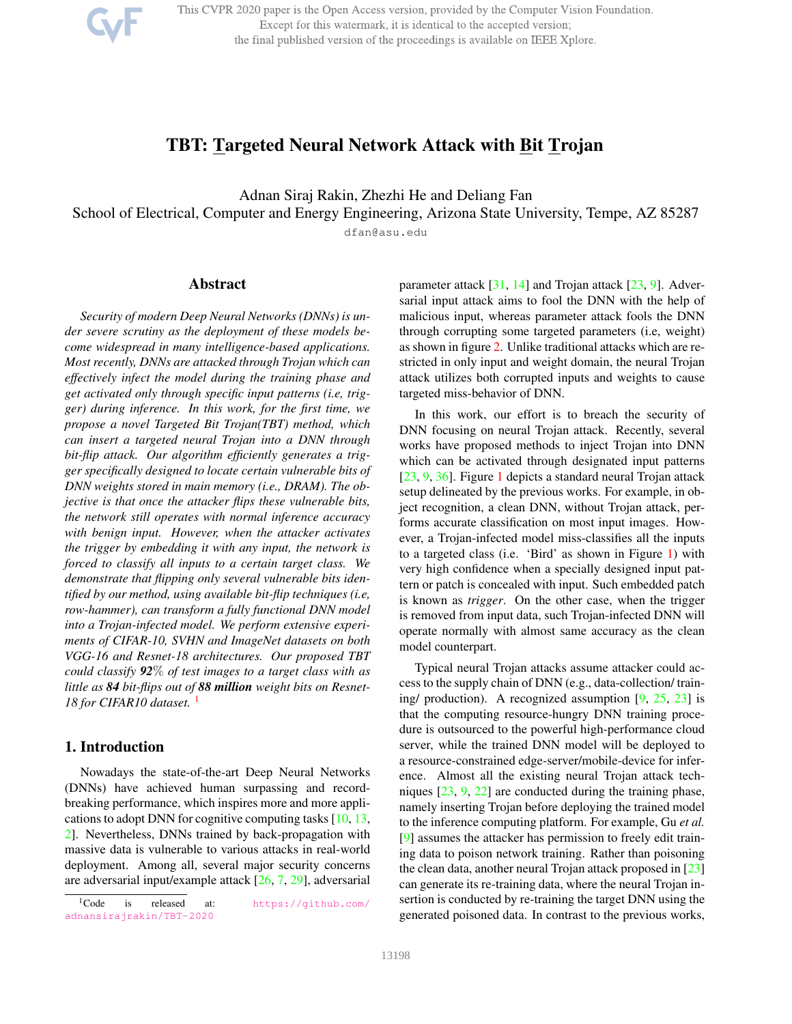This CVPR 2020 paper is the Open Access version, provided by the Computer Vision Foundation. Except for this watermark, it is identical to the accepted version; the final published version of the proceedings is available on IEEE Xplore.

# TBT: Targeted Neural Network Attack with Bit Trojan

Adnan Siraj Rakin, Zhezhi He and Deliang Fan

School of Electrical, Computer and Energy Engineering, Arizona State University, Tempe, AZ 85287

dfan@asu.edu

## Abstract

*Security of modern Deep Neural Networks (DNNs) is under severe scrutiny as the deployment of these models become widespread in many intelligence-based applications. Most recently, DNNs are attacked through Trojan which can effectively infect the model during the training phase and get activated only through specific input patterns (i.e, trigger) during inference. In this work, for the first time, we propose a novel Targeted Bit Trojan(TBT) method, which can insert a targeted neural Trojan into a DNN through bit-flip attack. Our algorithm efficiently generates a trigger specifically designed to locate certain vulnerable bits of DNN weights stored in main memory (i.e., DRAM). The objective is that once the attacker flips these vulnerable bits, the network still operates with normal inference accuracy with benign input. However, when the attacker activates the trigger by embedding it with any input, the network is forced to classify all inputs to a certain target class. We demonstrate that flipping only several vulnerable bits identified by our method, using available bit-flip techniques (i.e, row-hammer), can transform a fully functional DNN model into a Trojan-infected model. We perform extensive experiments of CIFAR-10, SVHN and ImageNet datasets on both VGG-16 and Resnet-18 architectures. Our proposed TBT could classify 92*% *of test images to a target class with as little as 84 bit-flips out of 88 million weight bits on Resnet-18 for CIFAR10 dataset.* <sup>1</sup>

### 1. Introduction

Nowadays the state-of-the-art Deep Neural Networks (DNNs) have achieved human surpassing and recordbreaking performance, which inspires more and more applications to adopt DNN for cognitive computing tasks [10, 13, 2]. Nevertheless, DNNs trained by back-propagation with massive data is vulnerable to various attacks in real-world deployment. Among all, several major security concerns are adversarial input/example attack [26, 7, 29], adversarial

parameter attack [31, 14] and Trojan attack [23, 9]. Adversarial input attack aims to fool the DNN with the help of malicious input, whereas parameter attack fools the DNN through corrupting some targeted parameters (i.e, weight) as shown in figure 2. Unlike traditional attacks which are restricted in only input and weight domain, the neural Trojan attack utilizes both corrupted inputs and weights to cause targeted miss-behavior of DNN.

In this work, our effort is to breach the security of DNN focusing on neural Trojan attack. Recently, several works have proposed methods to inject Trojan into DNN which can be activated through designated input patterns [23, 9, 36]. Figure 1 depicts a standard neural Trojan attack setup delineated by the previous works. For example, in object recognition, a clean DNN, without Trojan attack, performs accurate classification on most input images. However, a Trojan-infected model miss-classifies all the inputs to a targeted class (i.e. 'Bird' as shown in Figure 1) with very high confidence when a specially designed input pattern or patch is concealed with input. Such embedded patch is known as *trigger*. On the other case, when the trigger is removed from input data, such Trojan-infected DNN will operate normally with almost same accuracy as the clean model counterpart.

Typical neural Trojan attacks assume attacker could access to the supply chain of DNN (e.g., data-collection/ training/ production). A recognized assumption [9, 25, 23] is that the computing resource-hungry DNN training procedure is outsourced to the powerful high-performance cloud server, while the trained DNN model will be deployed to a resource-constrained edge-server/mobile-device for inference. Almost all the existing neural Trojan attack techniques [23, 9, 22] are conducted during the training phase, namely inserting Trojan before deploying the trained model to the inference computing platform. For example, Gu *et al.* [9] assumes the attacker has permission to freely edit training data to poison network training. Rather than poisoning the clean data, another neural Trojan attack proposed in [23] can generate its re-training data, where the neural Trojan insertion is conducted by re-training the target DNN using the generated poisoned data. In contrast to the previous works,

<sup>1</sup>Code is released at: https://github.com/ adnansirajrakin/TBT-2020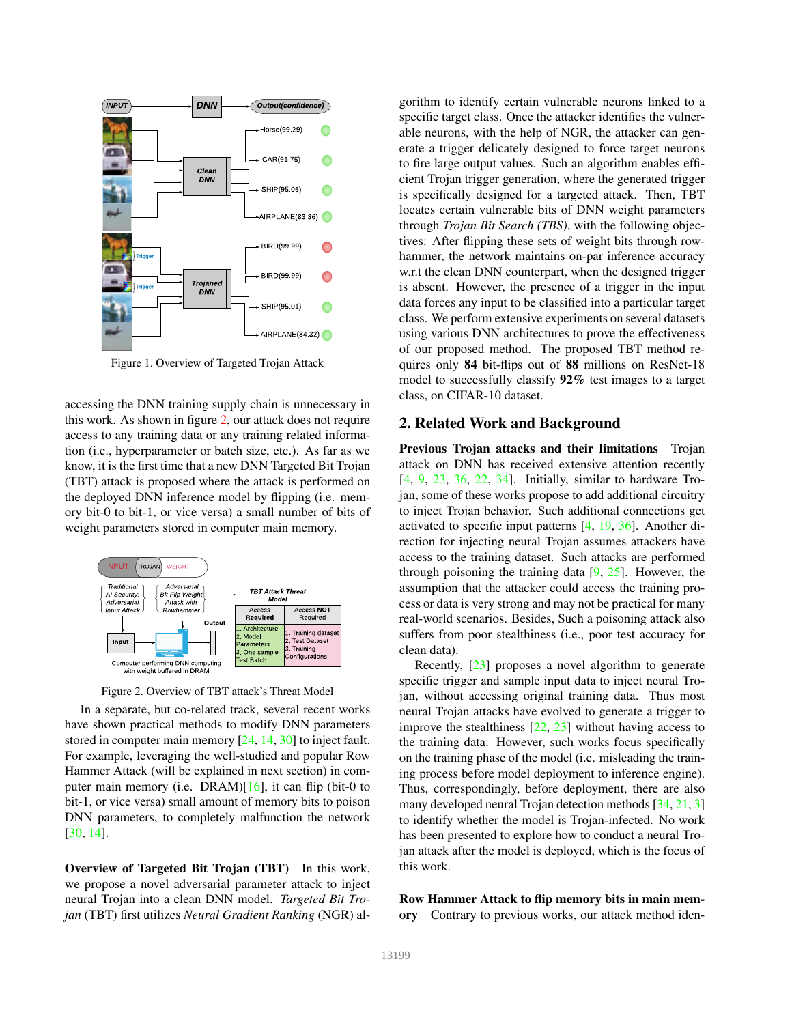

Figure 1. Overview of Targeted Trojan Attack

accessing the DNN training supply chain is unnecessary in this work. As shown in figure 2, our attack does not require access to any training data or any training related information (i.e., hyperparameter or batch size, etc.). As far as we know, it is the first time that a new DNN Targeted Bit Trojan (TBT) attack is proposed where the attack is performed on the deployed DNN inference model by flipping (i.e. memory bit-0 to bit-1, or vice versa) a small number of bits of weight parameters stored in computer main memory.



Figure 2. Overview of TBT attack's Threat Model

In a separate, but co-related track, several recent works have shown practical methods to modify DNN parameters stored in computer main memory [24, 14, 30] to inject fault. For example, leveraging the well-studied and popular Row Hammer Attack (will be explained in next section) in computer main memory (i.e. DRAM)[16], it can flip (bit-0 to bit-1, or vice versa) small amount of memory bits to poison DNN parameters, to completely malfunction the network [30, 14].

Overview of Targeted Bit Trojan (TBT) In this work, we propose a novel adversarial parameter attack to inject neural Trojan into a clean DNN model. *Targeted Bit Trojan* (TBT) first utilizes *Neural Gradient Ranking* (NGR) algorithm to identify certain vulnerable neurons linked to a specific target class. Once the attacker identifies the vulnerable neurons, with the help of NGR, the attacker can generate a trigger delicately designed to force target neurons to fire large output values. Such an algorithm enables efficient Trojan trigger generation, where the generated trigger is specifically designed for a targeted attack. Then, TBT locates certain vulnerable bits of DNN weight parameters through *Trojan Bit Search (TBS)*, with the following objectives: After flipping these sets of weight bits through rowhammer, the network maintains on-par inference accuracy w.r.t the clean DNN counterpart, when the designed trigger is absent. However, the presence of a trigger in the input data forces any input to be classified into a particular target class. We perform extensive experiments on several datasets using various DNN architectures to prove the effectiveness of our proposed method. The proposed TBT method requires only 84 bit-flips out of 88 millions on ResNet-18 model to successfully classify 92% test images to a target class, on CIFAR-10 dataset.

#### 2. Related Work and Background

Previous Trojan attacks and their limitations Trojan attack on DNN has received extensive attention recently [4, 9, 23, 36, 22, 34]. Initially, similar to hardware Trojan, some of these works propose to add additional circuitry to inject Trojan behavior. Such additional connections get activated to specific input patterns [4, 19, 36]. Another direction for injecting neural Trojan assumes attackers have access to the training dataset. Such attacks are performed through poisoning the training data [9, 25]. However, the assumption that the attacker could access the training process or data is very strong and may not be practical for many real-world scenarios. Besides, Such a poisoning attack also suffers from poor stealthiness (i.e., poor test accuracy for clean data).

Recently, [23] proposes a novel algorithm to generate specific trigger and sample input data to inject neural Trojan, without accessing original training data. Thus most neural Trojan attacks have evolved to generate a trigger to improve the stealthiness  $[22, 23]$  without having access to the training data. However, such works focus specifically on the training phase of the model (i.e. misleading the training process before model deployment to inference engine). Thus, correspondingly, before deployment, there are also many developed neural Trojan detection methods [34, 21, 3] to identify whether the model is Trojan-infected. No work has been presented to explore how to conduct a neural Trojan attack after the model is deployed, which is the focus of this work.

Row Hammer Attack to flip memory bits in main memory Contrary to previous works, our attack method iden-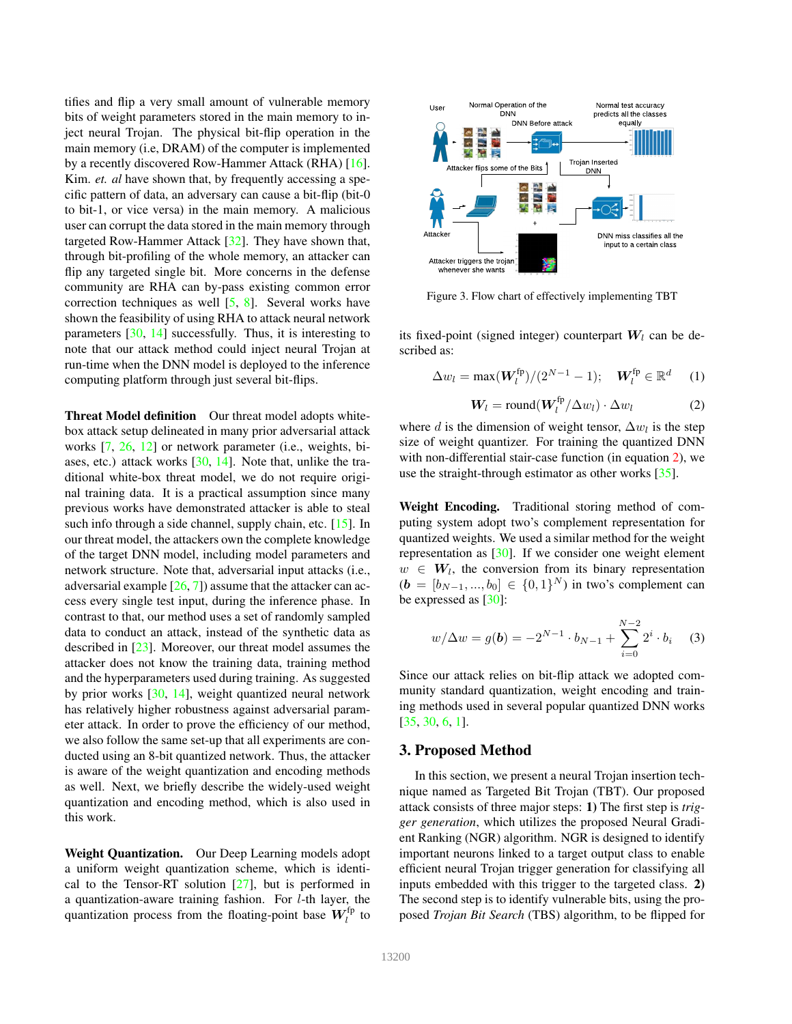tifies and flip a very small amount of vulnerable memory bits of weight parameters stored in the main memory to inject neural Trojan. The physical bit-flip operation in the main memory (i.e, DRAM) of the computer is implemented by a recently discovered Row-Hammer Attack (RHA) [16]. Kim. *et. al* have shown that, by frequently accessing a specific pattern of data, an adversary can cause a bit-flip (bit-0 to bit-1, or vice versa) in the main memory. A malicious user can corrupt the data stored in the main memory through targeted Row-Hammer Attack [32]. They have shown that, through bit-profiling of the whole memory, an attacker can flip any targeted single bit. More concerns in the defense community are RHA can by-pass existing common error correction techniques as well [5, 8]. Several works have shown the feasibility of using RHA to attack neural network parameters  $[30, 14]$  successfully. Thus, it is interesting to note that our attack method could inject neural Trojan at run-time when the DNN model is deployed to the inference computing platform through just several bit-flips.

Threat Model definition Our threat model adopts whitebox attack setup delineated in many prior adversarial attack works [7, 26, 12] or network parameter (i.e., weights, biases, etc.) attack works [30, 14]. Note that, unlike the traditional white-box threat model, we do not require original training data. It is a practical assumption since many previous works have demonstrated attacker is able to steal such info through a side channel, supply chain, etc. [15]. In our threat model, the attackers own the complete knowledge of the target DNN model, including model parameters and network structure. Note that, adversarial input attacks (i.e., adversarial example  $[26, 7]$ ) assume that the attacker can access every single test input, during the inference phase. In contrast to that, our method uses a set of randomly sampled data to conduct an attack, instead of the synthetic data as described in [23]. Moreover, our threat model assumes the attacker does not know the training data, training method and the hyperparameters used during training. As suggested by prior works [30, 14], weight quantized neural network has relatively higher robustness against adversarial parameter attack. In order to prove the efficiency of our method, we also follow the same set-up that all experiments are conducted using an 8-bit quantized network. Thus, the attacker is aware of the weight quantization and encoding methods as well. Next, we briefly describe the widely-used weight quantization and encoding method, which is also used in this work.

Weight Quantization. Our Deep Learning models adopt a uniform weight quantization scheme, which is identical to the Tensor-RT solution [27], but is performed in a quantization-aware training fashion. For l-th layer, the quantization process from the floating-point base  $W_l^{\text{fp}}$  to



Figure 3. Flow chart of effectively implementing TBT

its fixed-point (signed integer) counterpart  $W_l$  can be described as:

$$
\Delta w_l = \max(\boldsymbol{W}_l^{\text{fp}})/(2^{N-1}-1); \quad \boldsymbol{W}_l^{\text{fp}} \in \mathbb{R}^d \quad (1)
$$

$$
W_l = \text{round}(W_l^{\text{fp}}/\Delta w_l) \cdot \Delta w_l \tag{2}
$$

where d is the dimension of weight tensor,  $\Delta w_l$  is the step size of weight quantizer. For training the quantized DNN with non-differential stair-case function (in equation 2), we use the straight-through estimator as other works [35].

Weight Encoding. Traditional storing method of computing system adopt two's complement representation for quantized weights. We used a similar method for the weight representation as [30]. If we consider one weight element  $w \in W_l$ , the conversion from its binary representation  $(b = [b_{N-1},..., b_0] \in \{0,1\}^N)$  in two's complement can be expressed as [30]:

$$
w/\Delta w = g(\mathbf{b}) = -2^{N-1} \cdot b_{N-1} + \sum_{i=0}^{N-2} 2^i \cdot b_i \quad (3)
$$

Since our attack relies on bit-flip attack we adopted community standard quantization, weight encoding and training methods used in several popular quantized DNN works [35, 30, 6, 1].

### 3. Proposed Method

In this section, we present a neural Trojan insertion technique named as Targeted Bit Trojan (TBT). Our proposed attack consists of three major steps: 1) The first step is *trigger generation*, which utilizes the proposed Neural Gradient Ranking (NGR) algorithm. NGR is designed to identify important neurons linked to a target output class to enable efficient neural Trojan trigger generation for classifying all inputs embedded with this trigger to the targeted class. 2) The second step is to identify vulnerable bits, using the proposed *Trojan Bit Search* (TBS) algorithm, to be flipped for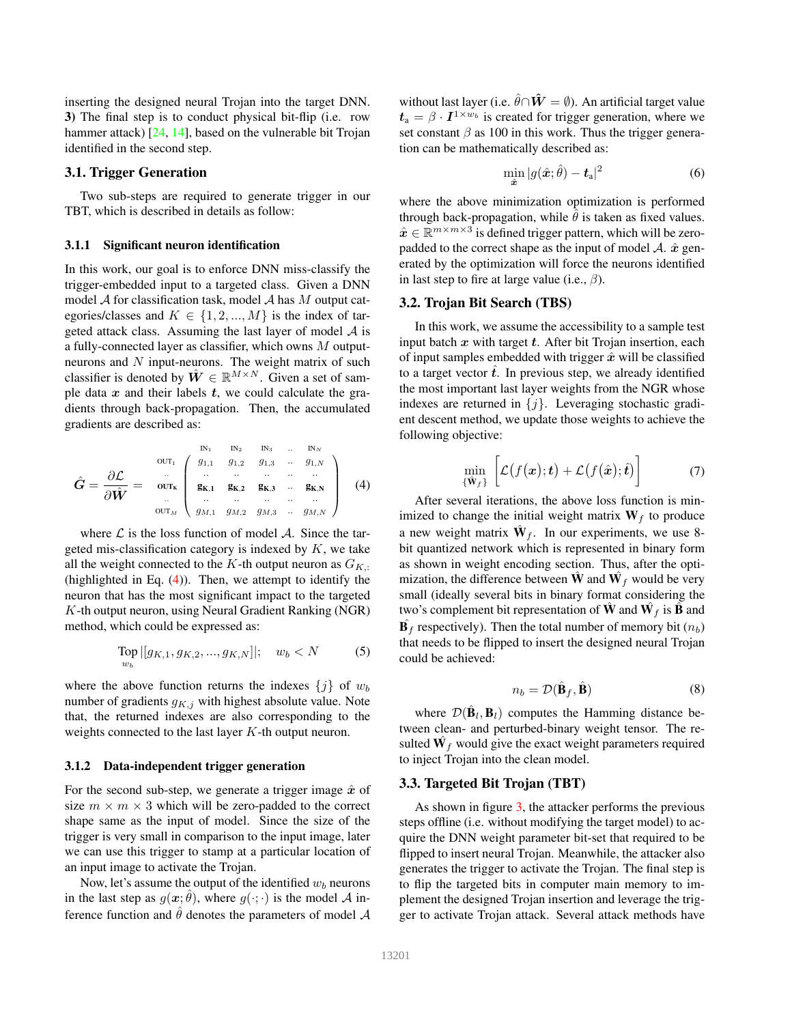inserting the designed neural Trojan into the target DNN. 3) The final step is to conduct physical bit-flip (i.e. row hammer attack) [24, 14], based on the vulnerable bit Trojan identified in the second step.

### 3.1. Trigger Generation

Two sub-steps are required to generate trigger in our TBT, which is described in details as follow:

#### 3.1.1 Significant neuron identification

In this work, our goal is to enforce DNN miss-classify the trigger-embedded input to a targeted class. Given a DNN model  $A$  for classification task, model  $A$  has  $M$  output categories/classes and  $K \in \{1, 2, ..., M\}$  is the index of targeted attack class. Assuming the last layer of model  $\mathcal A$  is a fully-connected layer as classifier, which owns M outputneurons and  $N$  input-neurons. The weight matrix of such classifier is denoted by  $\hat{W} \in \mathbb{R}^{M \times N}$ . Given a set of sample data  $x$  and their labels  $t$ , we could calculate the gradients through back-propagation. Then, the accumulated gradients are described as:

$$
\hat{G} = \frac{\partial \mathcal{L}}{\partial \hat{W}} = \begin{bmatrix} \text{IV}_{1} & \text{IN}_{2} & \text{IN}_{3} & \text{IN}_{N} \\ \text{OUT}_{1} & g_{1,1} & g_{1,2} & g_{1,3} & \cdots & g_{1,N} \\ \vdots & \vdots & \ddots & \vdots & \ddots & \vdots \\ \text{OUT}_{K} & g_{K,1} & g_{K,2} & g_{K,3} & \cdots & g_{K,N} \\ \vdots & \vdots & \ddots & \vdots & \ddots & \vdots \\ g_{M,1} & g_{M,2} & g_{M,3} & \cdots & g_{M,N} \end{bmatrix} (4)
$$

where  $\mathcal L$  is the loss function of model  $\mathcal A$ . Since the targeted mis-classification category is indexed by  $K$ , we take all the weight connected to the K-th output neuron as  $G_{K,:}$ (highlighted in Eq. (4)). Then, we attempt to identify the neuron that has the most significant impact to the targeted K-th output neuron, using Neural Gradient Ranking (NGR) method, which could be expressed as:

Top 
$$
|[g_{K,1}, g_{K,2}, ..., g_{K,N}]|;
$$
  $w_b < N$  (5)

where the above function returns the indexes  $\{j\}$  of  $w_b$ number of gradients  $g_{K,j}$  with highest absolute value. Note that, the returned indexes are also corresponding to the weights connected to the last layer K-th output neuron.

#### 3.1.2 Data-independent trigger generation

For the second sub-step, we generate a trigger image  $\hat{x}$  of size  $m \times m \times 3$  which will be zero-padded to the correct shape same as the input of model. Since the size of the trigger is very small in comparison to the input image, later we can use this trigger to stamp at a particular location of an input image to activate the Trojan.

Now, let's assume the output of the identified  $w_b$  neurons in the last step as  $g(x; \hat{\theta})$ , where  $g(\cdot; \cdot)$  is the model A inference function and  $\hat{\theta}$  denotes the parameters of model  $\mathcal A$  without last layer (i.e.  $\hat{\theta} \cap \hat{W} = \emptyset$ ). An artificial target value  $t_{\rm a} = \beta \cdot I^{1 \times w_b}$  is created for trigger generation, where we set constant  $\beta$  as 100 in this work. Thus the trigger generation can be mathematically described as:

$$
\min_{\hat{\boldsymbol{x}}} |g(\hat{\boldsymbol{x}};\hat{\theta}) - \boldsymbol{t}_a|^2 \tag{6}
$$

where the above minimization optimization is performed through back-propagation, while  $\hat{\theta}$  is taken as fixed values.  $\hat{x} \in \mathbb{R}^{m \times m \times 3}$  is defined trigger pattern, which will be zeropadded to the correct shape as the input of model  $\mathcal{A}$ .  $\hat{x}$  generated by the optimization will force the neurons identified in last step to fire at large value (i.e.,  $\beta$ ).

#### 3.2. Trojan Bit Search (TBS)

In this work, we assume the accessibility to a sample test input batch  $x$  with target  $t$ . After bit Trojan insertion, each of input samples embedded with trigger  $\hat{x}$  will be classified to a target vector  $\hat{t}$ . In previous step, we already identified the most important last layer weights from the NGR whose indexes are returned in  $\{j\}$ . Leveraging stochastic gradient descent method, we update those weights to achieve the following objective:

$$
\min_{\{\hat{\mathbf{W}}_f\}} \left[ \mathcal{L}(f(\boldsymbol{x}); \boldsymbol{t}) + \mathcal{L}(f(\hat{\boldsymbol{x}}); \hat{\boldsymbol{t}}) \right]
$$
(7)

After several iterations, the above loss function is minimized to change the initial weight matrix  $W_f$  to produce a new weight matrix  $\hat{\mathbf{W}}_f$ . In our experiments, we use 8bit quantized network which is represented in binary form as shown in weight encoding section. Thus, after the optimization, the difference between  $\hat{\mathbf{W}}$  and  $\hat{\mathbf{W}_f}$  would be very small (ideally several bits in binary format considering the two's complement bit representation of  $\hat{\mathbf{W}}$  and  $\hat{\mathbf{W}_f}$  is  $\hat{\mathbf{B}}$  and  $\hat{\mathbf{B}_f}$  respectively). Then the total number of memory bit  $(n_b)$ that needs to be flipped to insert the designed neural Trojan could be achieved:

$$
n_b = \mathcal{D}(\hat{\mathbf{B}}_f, \hat{\mathbf{B}})
$$
 (8)

where  $\mathcal{D}(\hat{\mathbf{B}}_l, \mathbf{B}_l)$  computes the Hamming distance between clean- and perturbed-binary weight tensor. The resulted  $\hat{W_f}$  would give the exact weight parameters required to inject Trojan into the clean model.

#### 3.3. Targeted Bit Trojan (TBT)

As shown in figure 3, the attacker performs the previous steps offline (i.e. without modifying the target model) to acquire the DNN weight parameter bit-set that required to be flipped to insert neural Trojan. Meanwhile, the attacker also generates the trigger to activate the Trojan. The final step is to flip the targeted bits in computer main memory to implement the designed Trojan insertion and leverage the trigger to activate Trojan attack. Several attack methods have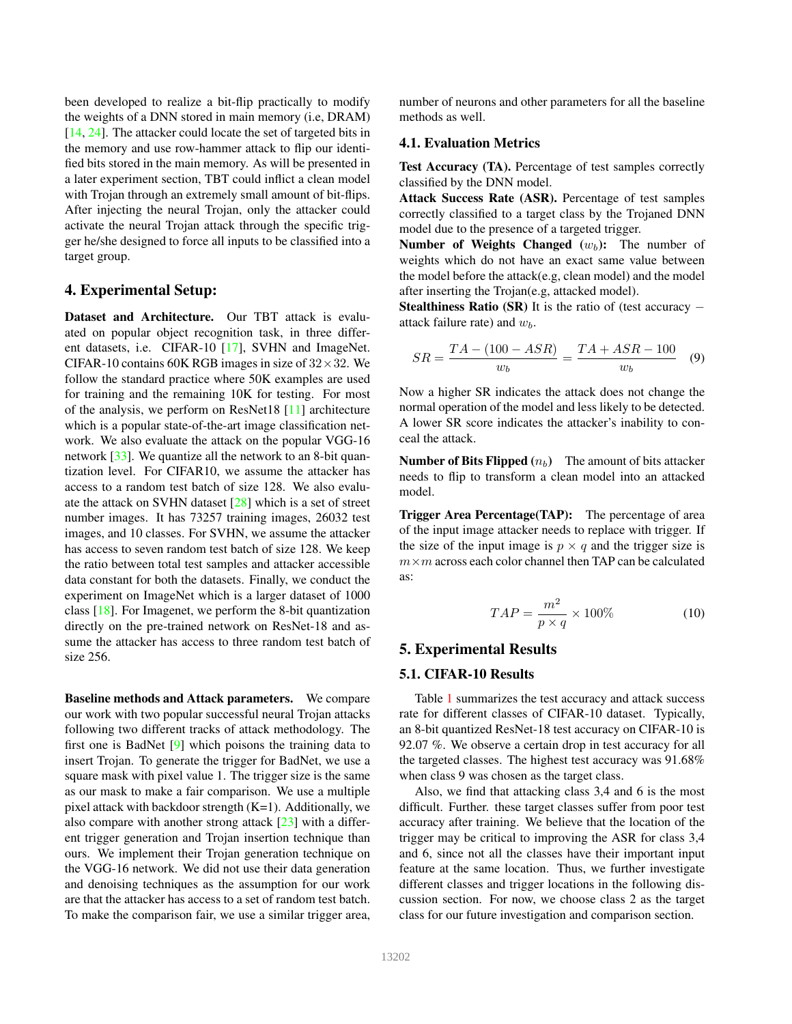been developed to realize a bit-flip practically to modify the weights of a DNN stored in main memory (i.e, DRAM) [14, 24]. The attacker could locate the set of targeted bits in the memory and use row-hammer attack to flip our identified bits stored in the main memory. As will be presented in a later experiment section, TBT could inflict a clean model with Trojan through an extremely small amount of bit-flips. After injecting the neural Trojan, only the attacker could activate the neural Trojan attack through the specific trigger he/she designed to force all inputs to be classified into a target group.

# 4. Experimental Setup:

Dataset and Architecture. Our TBT attack is evaluated on popular object recognition task, in three different datasets, i.e. CIFAR-10 [17], SVHN and ImageNet. CIFAR-10 contains 60K RGB images in size of  $32 \times 32$ . We follow the standard practice where 50K examples are used for training and the remaining 10K for testing. For most of the analysis, we perform on ResNet18 [11] architecture which is a popular state-of-the-art image classification network. We also evaluate the attack on the popular VGG-16 network [33]. We quantize all the network to an 8-bit quantization level. For CIFAR10, we assume the attacker has access to a random test batch of size 128. We also evaluate the attack on SVHN dataset  $[28]$  which is a set of street number images. It has 73257 training images, 26032 test images, and 10 classes. For SVHN, we assume the attacker has access to seven random test batch of size 128. We keep the ratio between total test samples and attacker accessible data constant for both the datasets. Finally, we conduct the experiment on ImageNet which is a larger dataset of 1000 class [18]. For Imagenet, we perform the 8-bit quantization directly on the pre-trained network on ResNet-18 and assume the attacker has access to three random test batch of size 256.

Baseline methods and Attack parameters. We compare our work with two popular successful neural Trojan attacks following two different tracks of attack methodology. The first one is BadNet [9] which poisons the training data to insert Trojan. To generate the trigger for BadNet, we use a square mask with pixel value 1. The trigger size is the same as our mask to make a fair comparison. We use a multiple pixel attack with backdoor strength  $(K=1)$ . Additionally, we also compare with another strong attack [23] with a different trigger generation and Trojan insertion technique than ours. We implement their Trojan generation technique on the VGG-16 network. We did not use their data generation and denoising techniques as the assumption for our work are that the attacker has access to a set of random test batch. To make the comparison fair, we use a similar trigger area,

number of neurons and other parameters for all the baseline methods as well.

### 4.1. Evaluation Metrics

Test Accuracy (TA). Percentage of test samples correctly classified by the DNN model.

Attack Success Rate (ASR). Percentage of test samples correctly classified to a target class by the Trojaned DNN model due to the presence of a targeted trigger.

**Number of Weights Changed**  $(w_b)$ : The number of weights which do not have an exact same value between the model before the attack(e.g, clean model) and the model after inserting the Trojan(e.g, attacked model).

**Stealthiness Ratio (SR)** It is the ratio of (test accuracy  $$ attack failure rate) and  $w<sub>b</sub>$ .

$$
SR = \frac{TA - (100 - ASR)}{w_b} = \frac{TA + ASR - 100}{w_b} \quad (9)
$$

Now a higher SR indicates the attack does not change the normal operation of the model and less likely to be detected. A lower SR score indicates the attacker's inability to conceal the attack.

**Number of Bits Flipped**  $(n_b)$  The amount of bits attacker needs to flip to transform a clean model into an attacked model.

Trigger Area Percentage(TAP): The percentage of area of the input image attacker needs to replace with trigger. If the size of the input image is  $p \times q$  and the trigger size is  $m \times m$  across each color channel then TAP can be calculated as:

$$
TAP = \frac{m^2}{p \times q} \times 100\%
$$
 (10)

### 5. Experimental Results

### 5.1. CIFAR-10 Results

Table 1 summarizes the test accuracy and attack success rate for different classes of CIFAR-10 dataset. Typically, an 8-bit quantized ResNet-18 test accuracy on CIFAR-10 is 92.07 %. We observe a certain drop in test accuracy for all the targeted classes. The highest test accuracy was 91.68% when class 9 was chosen as the target class.

Also, we find that attacking class 3,4 and 6 is the most difficult. Further. these target classes suffer from poor test accuracy after training. We believe that the location of the trigger may be critical to improving the ASR for class 3,4 and 6, since not all the classes have their important input feature at the same location. Thus, we further investigate different classes and trigger locations in the following discussion section. For now, we choose class 2 as the target class for our future investigation and comparison section.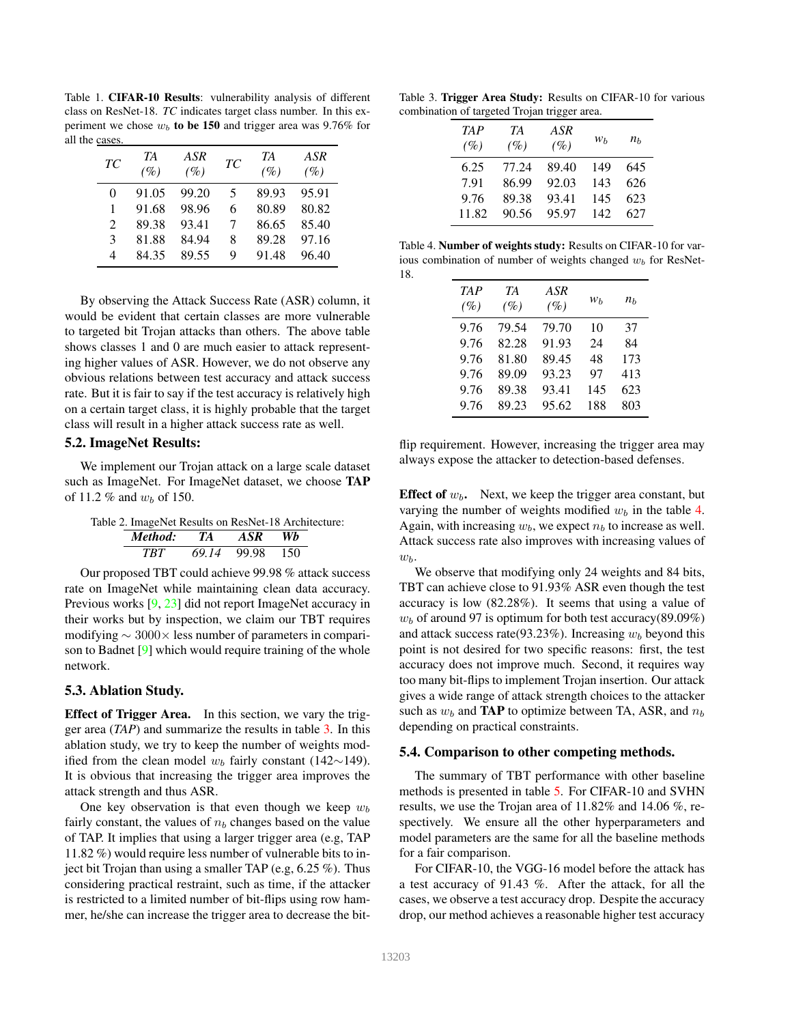Table 1. CIFAR-10 Results: vulnerability analysis of different class on ResNet-18. *TC* indicates target class number. In this experiment we chose  $w_b$  to be 150 and trigger area was 9.76% for all the cases.

| TC                          | TA<br>(%) | ASR<br>(%) | TC | TА<br>(%) | ASR<br>(%) |
|-----------------------------|-----------|------------|----|-----------|------------|
| 0                           | 91.05     | 99.20      | 5  | 89.93     | 95.91      |
| 1                           | 91.68     | 98.96      | 6  | 80.89     | 80.82      |
| $\mathcal{D}_{\mathcal{L}}$ | 89.38     | 93.41      | 7  | 86.65     | 85.40      |
| 3                           | 81.88     | 84.94      | 8  | 89.28     | 97.16      |
| 4                           | 84.35     | 89.55      | 9  | 91.48     | 96.40      |

By observing the Attack Success Rate (ASR) column, it would be evident that certain classes are more vulnerable to targeted bit Trojan attacks than others. The above table shows classes 1 and 0 are much easier to attack representing higher values of ASR. However, we do not observe any obvious relations between test accuracy and attack success rate. But it is fair to say if the test accuracy is relatively high on a certain target class, it is highly probable that the target class will result in a higher attack success rate as well.

#### 5.2. ImageNet Results:

We implement our Trojan attack on a large scale dataset such as ImageNet. For ImageNet dataset, we choose TAP of 11.2 % and  $w_b$  of 150.

|                   |                 | Table 2. ImageNet Results on ResNet-18 Architecture: |  |
|-------------------|-----------------|------------------------------------------------------|--|
| Method: TA ASR Wb |                 |                                                      |  |
| TRT -             | 69.14 99.98 150 |                                                      |  |

Our proposed TBT could achieve 99.98 % attack success rate on ImageNet while maintaining clean data accuracy. Previous works [9, 23] did not report ImageNet accuracy in their works but by inspection, we claim our TBT requires modifying ∼ 3000× less number of parameters in comparison to Badnet [9] which would require training of the whole network.

### 5.3. Ablation Study.

Effect of Trigger Area. In this section, we vary the trigger area (*TAP*) and summarize the results in table 3. In this ablation study, we try to keep the number of weights modified from the clean model  $w_b$  fairly constant (142∼149). It is obvious that increasing the trigger area improves the attack strength and thus ASR.

One key observation is that even though we keep  $w_b$ fairly constant, the values of  $n<sub>b</sub>$  changes based on the value of TAP. It implies that using a larger trigger area (e.g, TAP 11.82 %) would require less number of vulnerable bits to inject bit Trojan than using a smaller TAP (e.g, 6.25 %). Thus considering practical restraint, such as time, if the attacker is restricted to a limited number of bit-flips using row hammer, he/she can increase the trigger area to decrease the bit-

Table 3. Trigger Area Study: Results on CIFAR-10 for various combination of targeted Trojan trigger area.

| TAP<br>(%) | TA<br>(%) | ASR<br>(%) | Wh  | $n_h$ |
|------------|-----------|------------|-----|-------|
| 6.25       | 77.24     | 89.40      | 149 | 645   |
| 7.91       | 86.99     | 92.03      | 143 | 626   |
| 9.76       | 89.38     | 93.41      | 145 | 623   |
| 11.82      | 90.56     | 95.97      | 142 | 627   |

Table 4. Number of weights study: Results on CIFAR-10 for various combination of number of weights changed  $w<sub>b</sub>$  for ResNet-18.

| <b>TAP</b><br>(%) | TA<br>(%) | ASR<br>(%) | Wh  | $n_b$ |
|-------------------|-----------|------------|-----|-------|
| 9.76              | 79.54     | 79.70      | 10  | 37    |
| 9.76              | 82.28     | 91.93      | 24  | 84    |
| 9.76              | 81.80     | 89.45      | 48  | 173   |
| 9.76              | 89.09     | 93.23      | 97  | 413   |
| 9.76              | 89.38     | 93.41      | 145 | 623   |
| 9.76              | 89.23     | 95.62      | 188 | 803   |
|                   |           |            |     |       |

flip requirement. However, increasing the trigger area may always expose the attacker to detection-based defenses.

**Effect of**  $w_b$ . Next, we keep the trigger area constant, but varying the number of weights modified  $w<sub>b</sub>$  in the table 4. Again, with increasing  $w_b$ , we expect  $n_b$  to increase as well. Attack success rate also improves with increasing values of  $w<sub>b</sub>$ .

We observe that modifying only 24 weights and 84 bits, TBT can achieve close to 91.93% ASR even though the test accuracy is low (82.28%). It seems that using a value of  $w_b$  of around 97 is optimum for both test accuracy(89.09%) and attack success rate(93.23%). Increasing  $w_b$  beyond this point is not desired for two specific reasons: first, the test accuracy does not improve much. Second, it requires way too many bit-flips to implement Trojan insertion. Our attack gives a wide range of attack strength choices to the attacker such as  $w_b$  and **TAP** to optimize between TA, ASR, and  $n_b$ depending on practical constraints.

#### 5.4. Comparison to other competing methods.

The summary of TBT performance with other baseline methods is presented in table 5. For CIFAR-10 and SVHN results, we use the Trojan area of 11.82% and 14.06 %, respectively. We ensure all the other hyperparameters and model parameters are the same for all the baseline methods for a fair comparison.

For CIFAR-10, the VGG-16 model before the attack has a test accuracy of 91.43 %. After the attack, for all the cases, we observe a test accuracy drop. Despite the accuracy drop, our method achieves a reasonable higher test accuracy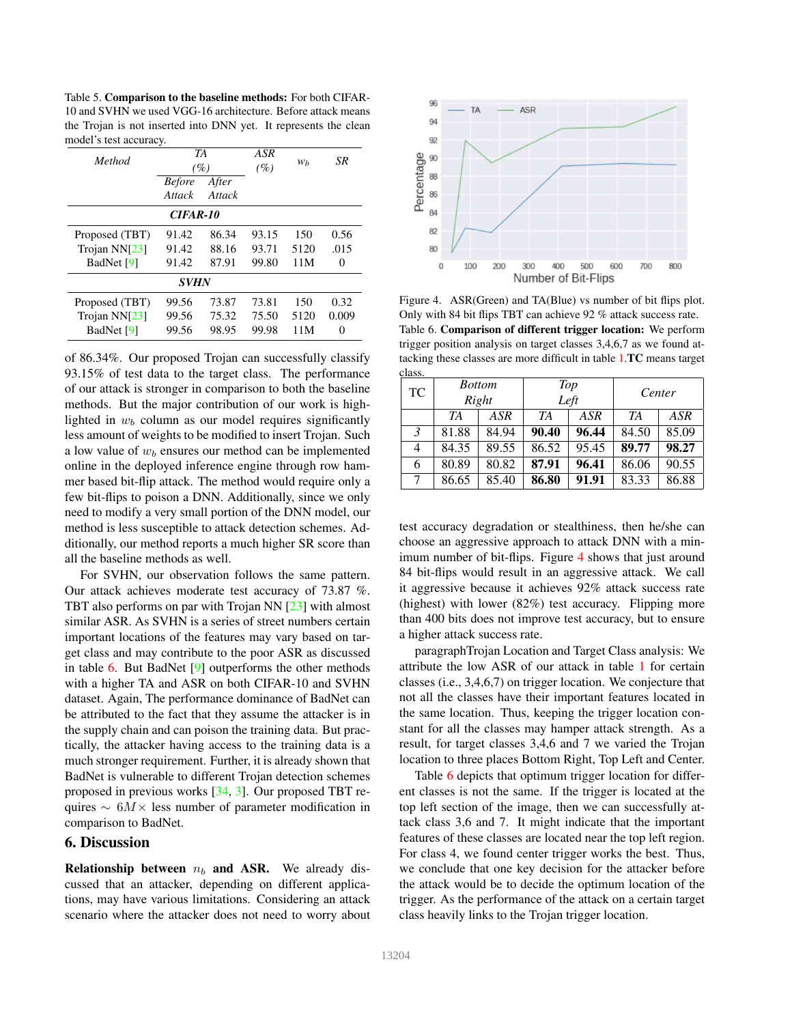Table 5. Comparison to the baseline methods: For both CIFAR-10 and SVHN we used VGG-16 architecture. Before attack means the Trojan is not inserted into DNN yet. It represents the clean model's test accuracy.

| Method         | TA<br>(%)               |                 | ASR<br>$(\%)$ | Wh   | <b>SR</b> |  |  |
|----------------|-------------------------|-----------------|---------------|------|-----------|--|--|
|                | <b>Before</b><br>Attack | After<br>Attack |               |      |           |  |  |
|                |                         |                 |               |      |           |  |  |
| CIFAR-10       |                         |                 |               |      |           |  |  |
| Proposed (TBT) | 91.42                   | 86.34           | 93.15         | 150  | 0.56      |  |  |
| Trojan NN[23]  | 91.42                   | 88.16           | 93.71         | 5120 | .015      |  |  |
| BadNet [9]     | 91.42                   | 87.91           | 99.80         | 11M  | 0         |  |  |
| <b>SVHN</b>    |                         |                 |               |      |           |  |  |
| Proposed (TBT) | 99.56                   | 73.87           | 73.81         | 150  | 0.32      |  |  |
| Trojan NN[23]  | 99.56                   | 75.32           | 75.50         | 5120 | 0.009     |  |  |
| BadNet [9]     | 99.56                   | 98.95           | 99.98         | 11M  | 0         |  |  |

of 86.34%. Our proposed Trojan can successfully classify 93.15% of test data to the target class. The performance of our attack is stronger in comparison to both the baseline methods. But the major contribution of our work is highlighted in  $w<sub>b</sub>$  column as our model requires significantly less amount of weights to be modified to insert Trojan. Such a low value of  $w_b$  ensures our method can be implemented online in the deployed inference engine through row hammer based bit-flip attack. The method would require only a few bit-flips to poison a DNN. Additionally, since we only need to modify a very small portion of the DNN model, our method is less susceptible to attack detection schemes. Additionally, our method reports a much higher SR score than all the baseline methods as well.

For SVHN, our observation follows the same pattern. Our attack achieves moderate test accuracy of 73.87 %. TBT also performs on par with Trojan NN [23] with almost similar ASR. As SVHN is a series of street numbers certain important locations of the features may vary based on target class and may contribute to the poor ASR as discussed in table  $6.$  But BadNet  $[9]$  outperforms the other methods with a higher TA and ASR on both CIFAR-10 and SVHN dataset. Again, The performance dominance of BadNet can be attributed to the fact that they assume the attacker is in the supply chain and can poison the training data. But practically, the attacker having access to the training data is a much stronger requirement. Further, it is already shown that BadNet is vulnerable to different Trojan detection schemes proposed in previous works [34, 3]. Our proposed TBT requires  $\sim 6M \times$  less number of parameter modification in comparison to BadNet.

#### 6. Discussion

**Relationship between**  $n_b$  and ASR. We already discussed that an attacker, depending on different applications, may have various limitations. Considering an attack scenario where the attacker does not need to worry about



Figure 4. ASR(Green) and TA(Blue) vs number of bit flips plot. Only with 84 bit flips TBT can achieve 92 % attack success rate. Table 6. Comparison of different trigger location: We perform trigger position analysis on target classes 3,4,6,7 as we found attacking these classes are more difficult in table 1.TC means target class.

| Giass. |                        |       |             |       |        |       |
|--------|------------------------|-------|-------------|-------|--------|-------|
| TC     | <b>Bottom</b><br>Right |       | Top<br>Left |       | Center |       |
|        | TA                     | ASR   | TA          | ASR   | TA     | ASR   |
| 3      | 81.88                  | 84.94 | 90.40       | 96.44 | 84.50  | 85.09 |
| 4      | 84.35                  | 89.55 | 86.52       | 95.45 | 89.77  | 98.27 |
| 6      | 80.89                  | 80.82 | 87.91       | 96.41 | 86.06  | 90.55 |
| 7      | 86.65                  | 85.40 | 86.80       | 91.91 | 83.33  | 86.88 |

test accuracy degradation or stealthiness, then he/she can choose an aggressive approach to attack DNN with a minimum number of bit-flips. Figure 4 shows that just around 84 bit-flips would result in an aggressive attack. We call it aggressive because it achieves 92% attack success rate (highest) with lower (82%) test accuracy. Flipping more than 400 bits does not improve test accuracy, but to ensure a higher attack success rate.

paragraphTrojan Location and Target Class analysis: We attribute the low ASR of our attack in table 1 for certain classes (i.e., 3,4,6,7) on trigger location. We conjecture that not all the classes have their important features located in the same location. Thus, keeping the trigger location constant for all the classes may hamper attack strength. As a result, for target classes 3,4,6 and 7 we varied the Trojan location to three places Bottom Right, Top Left and Center.

Table 6 depicts that optimum trigger location for different classes is not the same. If the trigger is located at the top left section of the image, then we can successfully attack class 3,6 and 7. It might indicate that the important features of these classes are located near the top left region. For class 4, we found center trigger works the best. Thus, we conclude that one key decision for the attacker before the attack would be to decide the optimum location of the trigger. As the performance of the attack on a certain target class heavily links to the Trojan trigger location.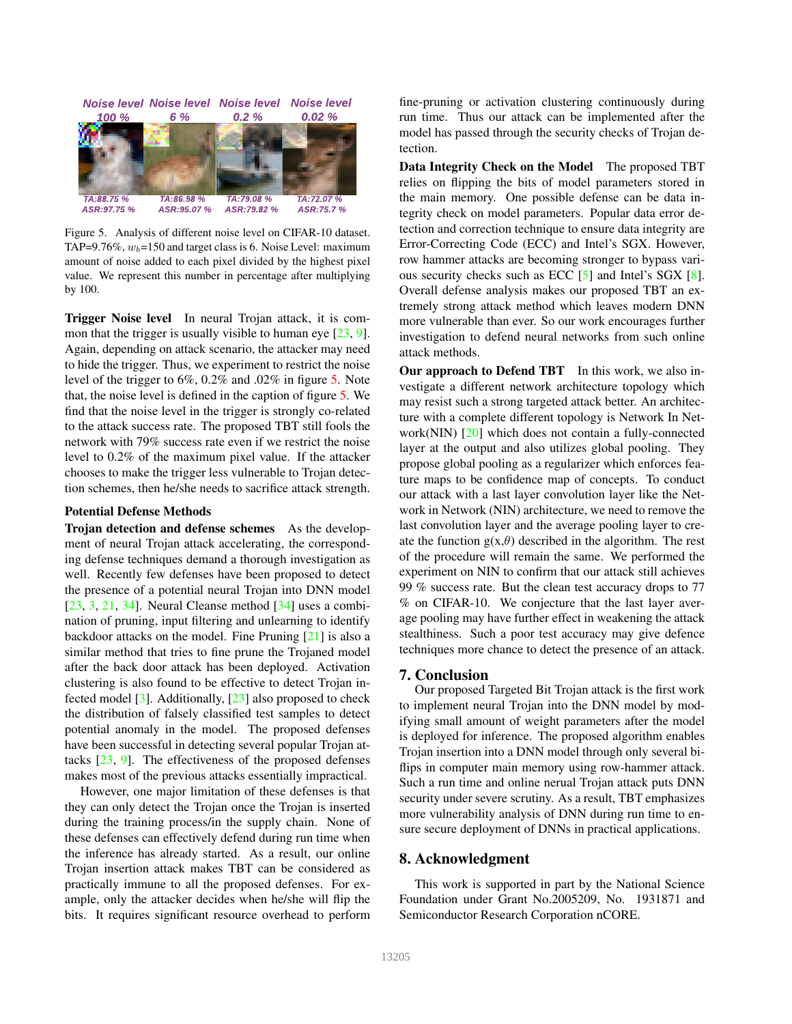

Figure 5. Analysis of different noise level on CIFAR-10 dataset. TAP=9.76%,  $w_b$ =150 and target class is 6. Noise Level: maximum amount of noise added to each pixel divided by the highest pixel value. We represent this number in percentage after multiplying by 100.

Trigger Noise level In neural Trojan attack, it is common that the trigger is usually visible to human eye [23, 9]. Again, depending on attack scenario, the attacker may need to hide the trigger. Thus, we experiment to restrict the noise level of the trigger to 6%, 0.2% and .02% in figure 5. Note that, the noise level is defined in the caption of figure 5. We find that the noise level in the trigger is strongly co-related to the attack success rate. The proposed TBT still fools the network with 79% success rate even if we restrict the noise level to 0.2% of the maximum pixel value. If the attacker chooses to make the trigger less vulnerable to Trojan detection schemes, then he/she needs to sacrifice attack strength.

### Potential Defense Methods

Trojan detection and defense schemes As the development of neural Trojan attack accelerating, the corresponding defense techniques demand a thorough investigation as well. Recently few defenses have been proposed to detect the presence of a potential neural Trojan into DNN model  $[23, 3, 21, 34]$ . Neural Cleanse method  $[34]$  uses a combination of pruning, input filtering and unlearning to identify backdoor attacks on the model. Fine Pruning [21] is also a similar method that tries to fine prune the Trojaned model after the back door attack has been deployed. Activation clustering is also found to be effective to detect Trojan infected model [3]. Additionally, [23] also proposed to check the distribution of falsely classified test samples to detect potential anomaly in the model. The proposed defenses have been successful in detecting several popular Trojan attacks [23, 9]. The effectiveness of the proposed defenses makes most of the previous attacks essentially impractical.

However, one major limitation of these defenses is that they can only detect the Trojan once the Trojan is inserted during the training process/in the supply chain. None of these defenses can effectively defend during run time when the inference has already started. As a result, our online Trojan insertion attack makes TBT can be considered as practically immune to all the proposed defenses. For example, only the attacker decides when he/she will flip the bits. It requires significant resource overhead to perform fine-pruning or activation clustering continuously during run time. Thus our attack can be implemented after the model has passed through the security checks of Trojan detection.

Data Integrity Check on the Model The proposed TBT relies on flipping the bits of model parameters stored in the main memory. One possible defense can be data integrity check on model parameters. Popular data error detection and correction technique to ensure data integrity are Error-Correcting Code (ECC) and Intel's SGX. However, row hammer attacks are becoming stronger to bypass various security checks such as ECC [5] and Intel's SGX [8]. Overall defense analysis makes our proposed TBT an extremely strong attack method which leaves modern DNN more vulnerable than ever. So our work encourages further investigation to defend neural networks from such online attack methods.

Our approach to Defend TBT In this work, we also investigate a different network architecture topology which may resist such a strong targeted attack better. An architecture with a complete different topology is Network In Network(NIN) [20] which does not contain a fully-connected layer at the output and also utilizes global pooling. They propose global pooling as a regularizer which enforces feature maps to be confidence map of concepts. To conduct our attack with a last layer convolution layer like the Network in Network (NIN) architecture, we need to remove the last convolution layer and the average pooling layer to create the function  $g(x,\theta)$  described in the algorithm. The rest of the procedure will remain the same. We performed the experiment on NIN to confirm that our attack still achieves 99 % success rate. But the clean test accuracy drops to 77 % on CIFAR-10. We conjecture that the last layer average pooling may have further effect in weakening the attack stealthiness. Such a poor test accuracy may give defence techniques more chance to detect the presence of an attack.

#### 7. Conclusion

Our proposed Targeted Bit Trojan attack is the first work to implement neural Trojan into the DNN model by modifying small amount of weight parameters after the model is deployed for inference. The proposed algorithm enables Trojan insertion into a DNN model through only several biflips in computer main memory using row-hammer attack. Such a run time and online nerual Trojan attack puts DNN security under severe scrutiny. As a result, TBT emphasizes more vulnerability analysis of DNN during run time to ensure secure deployment of DNNs in practical applications.

### 8. Acknowledgment

This work is supported in part by the National Science Foundation under Grant No.2005209, No. 1931871 and Semiconductor Research Corporation nCORE.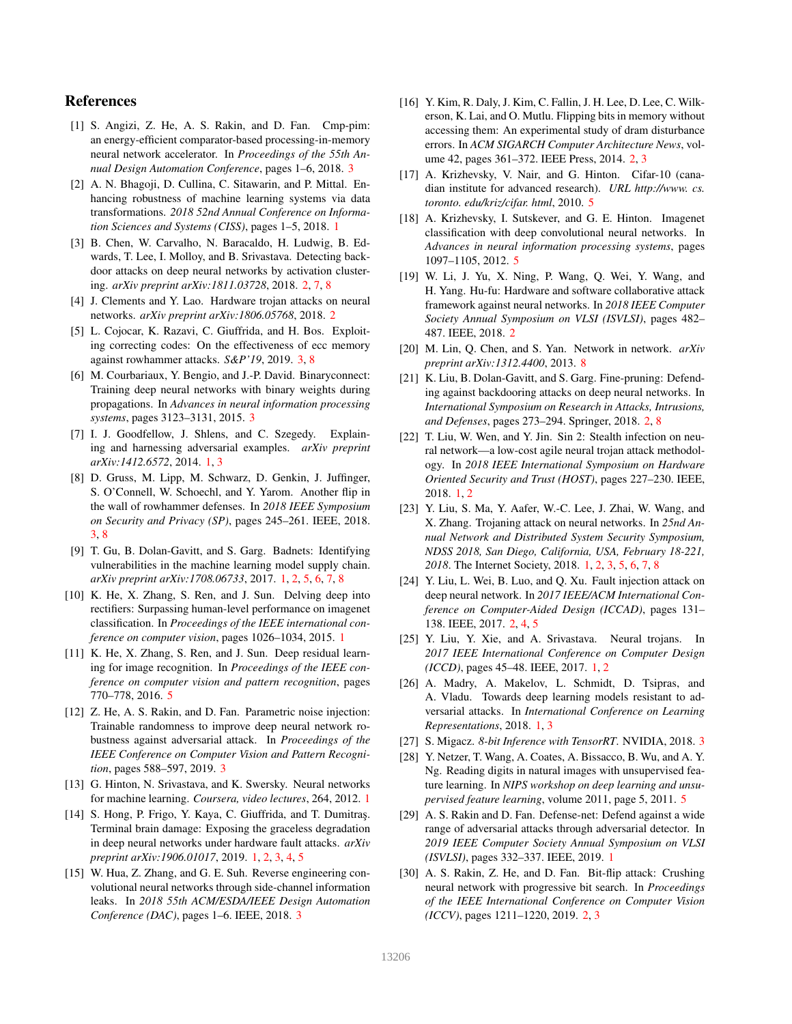# References

- [1] S. Angizi, Z. He, A. S. Rakin, and D. Fan. Cmp-pim: an energy-efficient comparator-based processing-in-memory neural network accelerator. In *Proceedings of the 55th Annual Design Automation Conference*, pages 1–6, 2018. 3
- [2] A. N. Bhagoji, D. Cullina, C. Sitawarin, and P. Mittal. Enhancing robustness of machine learning systems via data transformations. *2018 52nd Annual Conference on Information Sciences and Systems (CISS)*, pages 1–5, 2018. 1
- [3] B. Chen, W. Carvalho, N. Baracaldo, H. Ludwig, B. Edwards, T. Lee, I. Molloy, and B. Srivastava. Detecting backdoor attacks on deep neural networks by activation clustering. *arXiv preprint arXiv:1811.03728*, 2018. 2, 7, 8
- [4] J. Clements and Y. Lao. Hardware trojan attacks on neural networks. *arXiv preprint arXiv:1806.05768*, 2018. 2
- [5] L. Cojocar, K. Razavi, C. Giuffrida, and H. Bos. Exploiting correcting codes: On the effectiveness of ecc memory against rowhammer attacks. *S&P'19*, 2019. 3, 8
- [6] M. Courbariaux, Y. Bengio, and J.-P. David. Binaryconnect: Training deep neural networks with binary weights during propagations. In *Advances in neural information processing systems*, pages 3123–3131, 2015. 3
- [7] I. J. Goodfellow, J. Shlens, and C. Szegedy. Explaining and harnessing adversarial examples. *arXiv preprint arXiv:1412.6572*, 2014. 1, 3
- [8] D. Gruss, M. Lipp, M. Schwarz, D. Genkin, J. Juffinger, S. O'Connell, W. Schoechl, and Y. Yarom. Another flip in the wall of rowhammer defenses. In *2018 IEEE Symposium on Security and Privacy (SP)*, pages 245–261. IEEE, 2018. 3, 8
- [9] T. Gu, B. Dolan-Gavitt, and S. Garg. Badnets: Identifying vulnerabilities in the machine learning model supply chain. *arXiv preprint arXiv:1708.06733*, 2017. 1, 2, 5, 6, 7, 8
- [10] K. He, X. Zhang, S. Ren, and J. Sun. Delving deep into rectifiers: Surpassing human-level performance on imagenet classification. In *Proceedings of the IEEE international conference on computer vision*, pages 1026–1034, 2015. 1
- [11] K. He, X. Zhang, S. Ren, and J. Sun. Deep residual learning for image recognition. In *Proceedings of the IEEE conference on computer vision and pattern recognition*, pages 770–778, 2016. 5
- [12] Z. He, A. S. Rakin, and D. Fan. Parametric noise injection: Trainable randomness to improve deep neural network robustness against adversarial attack. In *Proceedings of the IEEE Conference on Computer Vision and Pattern Recognition*, pages 588–597, 2019. 3
- [13] G. Hinton, N. Srivastava, and K. Swersky. Neural networks for machine learning. *Coursera, video lectures*, 264, 2012. 1
- [14] S. Hong, P. Frigo, Y. Kaya, C. Giuffrida, and T. Dumitras, Terminal brain damage: Exposing the graceless degradation in deep neural networks under hardware fault attacks. *arXiv preprint arXiv:1906.01017*, 2019. 1, 2, 3, 4, 5
- [15] W. Hua, Z. Zhang, and G. E. Suh. Reverse engineering convolutional neural networks through side-channel information leaks. In *2018 55th ACM/ESDA/IEEE Design Automation Conference (DAC)*, pages 1–6. IEEE, 2018. 3
- [16] Y. Kim, R. Daly, J. Kim, C. Fallin, J. H. Lee, D. Lee, C. Wilkerson, K. Lai, and O. Mutlu. Flipping bits in memory without accessing them: An experimental study of dram disturbance errors. In *ACM SIGARCH Computer Architecture News*, volume 42, pages 361–372. IEEE Press, 2014. 2, 3
- [17] A. Krizhevsky, V. Nair, and G. Hinton. Cifar-10 (canadian institute for advanced research). *URL http://www. cs. toronto. edu/kriz/cifar. html*, 2010. 5
- [18] A. Krizhevsky, I. Sutskever, and G. E. Hinton. Imagenet classification with deep convolutional neural networks. In *Advances in neural information processing systems*, pages 1097–1105, 2012. 5
- [19] W. Li, J. Yu, X. Ning, P. Wang, Q. Wei, Y. Wang, and H. Yang. Hu-fu: Hardware and software collaborative attack framework against neural networks. In *2018 IEEE Computer Society Annual Symposium on VLSI (ISVLSI)*, pages 482– 487. IEEE, 2018. 2
- [20] M. Lin, Q. Chen, and S. Yan. Network in network. *arXiv preprint arXiv:1312.4400*, 2013. 8
- [21] K. Liu, B. Dolan-Gavitt, and S. Garg. Fine-pruning: Defending against backdooring attacks on deep neural networks. In *International Symposium on Research in Attacks, Intrusions, and Defenses*, pages 273–294. Springer, 2018. 2, 8
- [22] T. Liu, W. Wen, and Y. Jin. Sin 2: Stealth infection on neural network—a low-cost agile neural trojan attack methodology. In *2018 IEEE International Symposium on Hardware Oriented Security and Trust (HOST)*, pages 227–230. IEEE, 2018. 1, 2
- [23] Y. Liu, S. Ma, Y. Aafer, W.-C. Lee, J. Zhai, W. Wang, and X. Zhang. Trojaning attack on neural networks. In *25nd Annual Network and Distributed System Security Symposium, NDSS 2018, San Diego, California, USA, February 18-221, 2018*. The Internet Society, 2018. 1, 2, 3, 5, 6, 7, 8
- [24] Y. Liu, L. Wei, B. Luo, and Q. Xu. Fault injection attack on deep neural network. In *2017 IEEE/ACM International Conference on Computer-Aided Design (ICCAD)*, pages 131– 138. IEEE, 2017. 2, 4, 5
- [25] Y. Liu, Y. Xie, and A. Srivastava. Neural trojans. In *2017 IEEE International Conference on Computer Design (ICCD)*, pages 45–48. IEEE, 2017. 1, 2
- [26] A. Madry, A. Makelov, L. Schmidt, D. Tsipras, and A. Vladu. Towards deep learning models resistant to adversarial attacks. In *International Conference on Learning Representations*, 2018. 1, 3
- [27] S. Migacz. *8-bit Inference with TensorRT*. NVIDIA, 2018. 3
- [28] Y. Netzer, T. Wang, A. Coates, A. Bissacco, B. Wu, and A. Y. Ng. Reading digits in natural images with unsupervised feature learning. In *NIPS workshop on deep learning and unsupervised feature learning*, volume 2011, page 5, 2011. 5
- [29] A. S. Rakin and D. Fan. Defense-net: Defend against a wide range of adversarial attacks through adversarial detector. In *2019 IEEE Computer Society Annual Symposium on VLSI (ISVLSI)*, pages 332–337. IEEE, 2019. 1
- [30] A. S. Rakin, Z. He, and D. Fan. Bit-flip attack: Crushing neural network with progressive bit search. In *Proceedings of the IEEE International Conference on Computer Vision (ICCV)*, pages 1211–1220, 2019. 2, 3